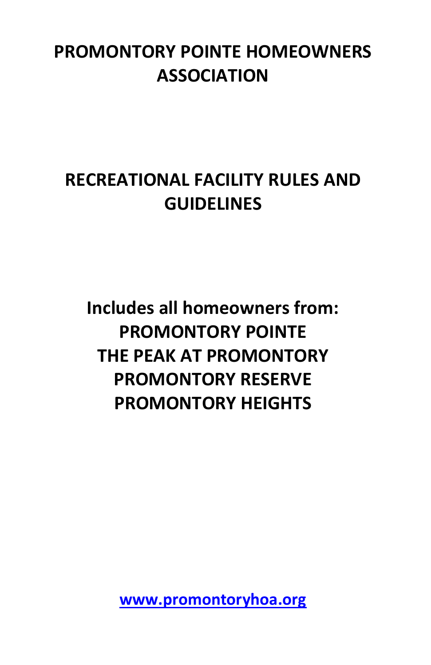#### **PROMONTORY POINTE HOMEOWNERS ASSOCIATION**

### **RECREATIONAL FACILITY RULES AND GUIDELINES**

**Includes all homeowners from: PROMONTORY POINTE THE PEAK AT PROMONTORY PROMONTORY RESERVE PROMONTORY HEIGHTS**

**[www.promontoryhoa.org](http://www.promontoryhoa.org/)**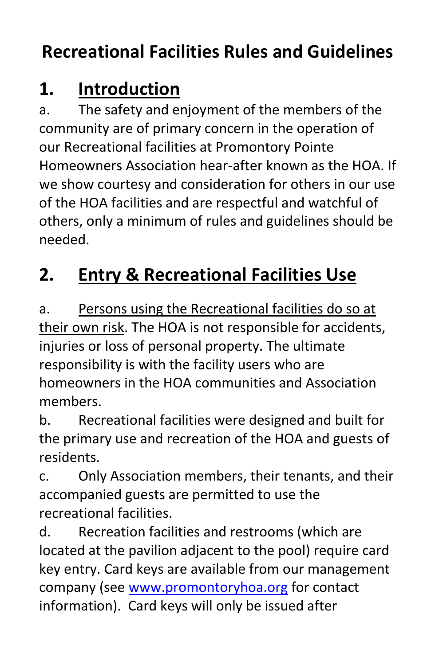## **Recreational Facilities Rules and Guidelines**

### **1. Introduction**

a. The safety and enjoyment of the members of the community are of primary concern in the operation of our Recreational facilities at Promontory Pointe Homeowners Association hear-after known as the HOA. If we show courtesy and consideration for others in our use of the HOA facilities and are respectful and watchful of others, only a minimum of rules and guidelines should be needed.

## **2. Entry & Recreational Facilities Use**

a. Persons using the Recreational facilities do so at their own risk. The HOA is not responsible for accidents, injuries or loss of personal property. The ultimate responsibility is with the facility users who are homeowners in the HOA communities and Association members.

b. Recreational facilities were designed and built for the primary use and recreation of the HOA and guests of residents.

c. Only Association members, their tenants, and their accompanied guests are permitted to use the recreational facilities.

d. Recreation facilities and restrooms (which are located at the pavilion adjacent to the pool) require card key entry. Card keys are available from our management company (see [www.promontoryhoa.org](http://www.promontoryhoa.org/) for contact information). Card keys will only be issued after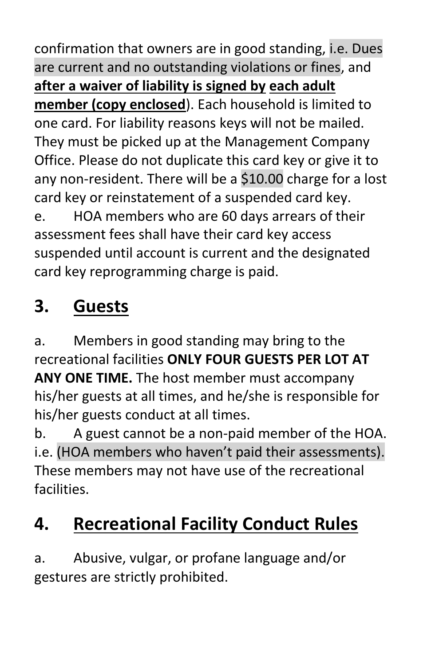confirmation that owners are in good standing, i.e. Dues are current and no outstanding violations or fines, and **after a waiver of liability is signed by each adult member (copy enclosed**). Each household is limited to one card. For liability reasons keys will not be mailed. They must be picked up at the Management Company Office. Please do not duplicate this card key or give it to any non-resident. There will be a \$10.00 charge for a lost card key or reinstatement of a suspended card key. e. HOA members who are 60 days arrears of their assessment fees shall have their card key access suspended until account is current and the designated card key reprogramming charge is paid.

# **3. Guests**

a. Members in good standing may bring to the recreational facilities **ONLY FOUR GUESTS PER LOT AT ANY ONE TIME.** The host member must accompany his/her guests at all times, and he/she is responsible for his/her guests conduct at all times.

b. A guest cannot be a non-paid member of the HOA. i.e. (HOA members who haven't paid their assessments). These members may not have use of the recreational facilities.

# **4. Recreational Facility Conduct Rules**

a. Abusive, vulgar, or profane language and/or gestures are strictly prohibited.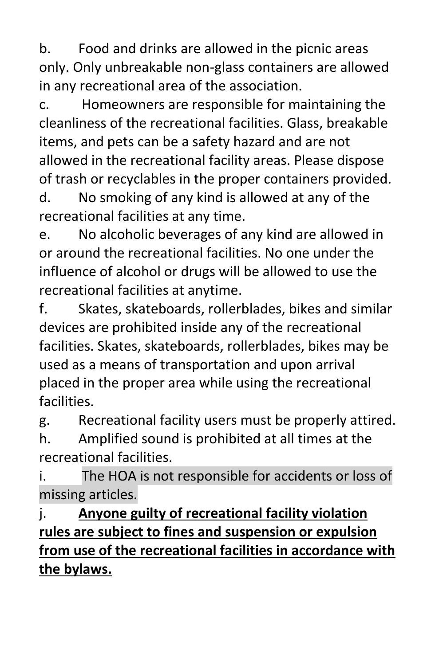b. Food and drinks are allowed in the picnic areas only. Only unbreakable non-glass containers are allowed in any recreational area of the association.

c. Homeowners are responsible for maintaining the cleanliness of the recreational facilities. Glass, breakable items, and pets can be a safety hazard and are not allowed in the recreational facility areas. Please dispose of trash or recyclables in the proper containers provided.

d. No smoking of any kind is allowed at any of the recreational facilities at any time.

e. No alcoholic beverages of any kind are allowed in or around the recreational facilities. No one under the influence of alcohol or drugs will be allowed to use the recreational facilities at anytime.

f. Skates, skateboards, rollerblades, bikes and similar devices are prohibited inside any of the recreational facilities. Skates, skateboards, rollerblades, bikes may be used as a means of transportation and upon arrival placed in the proper area while using the recreational facilities.

g. Recreational facility users must be properly attired. h. Amplified sound is prohibited at all times at the

recreational facilities.

i. The HOA is not responsible for accidents or loss of missing articles.

j. **Anyone guilty of recreational facility violation rules are subject to fines and suspension or expulsion from use of the recreational facilities in accordance with the bylaws.**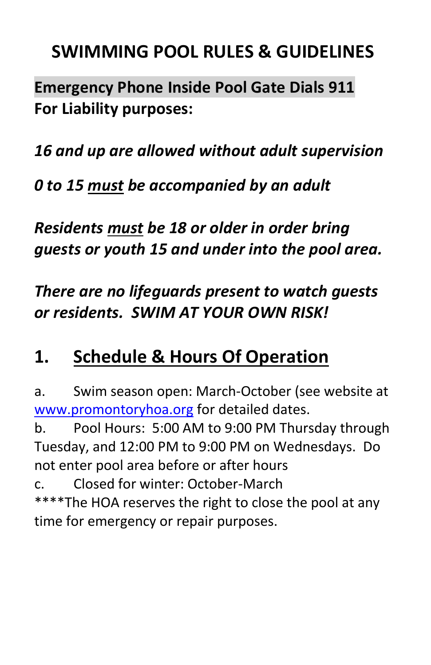#### **SWIMMING POOL RULES & GUIDELINES**

**Emergency Phone Inside Pool Gate Dials 911 For Liability purposes:**

*16 and up are allowed without adult supervision*

*0 to 15 must be accompanied by an adult*

*Residents must be 18 or older in order bring guests or youth 15 and under into the pool area.*

*There are no lifeguards present to watch guests or residents. SWIM AT YOUR OWN RISK!*

#### **1. Schedule & Hours Of Operation**

a. Swim season open: March-October (see website at [www.promontoryhoa.org](http://www.promontoryhoa.org/) for detailed dates.

b. Pool Hours: 5:00 AM to 9:00 PM Thursday through Tuesday, and 12:00 PM to 9:00 PM on Wednesdays. Do not enter pool area before or after hours

c. Closed for winter: October-March \*\*\*\*The HOA reserves the right to close the pool at any time for emergency or repair purposes.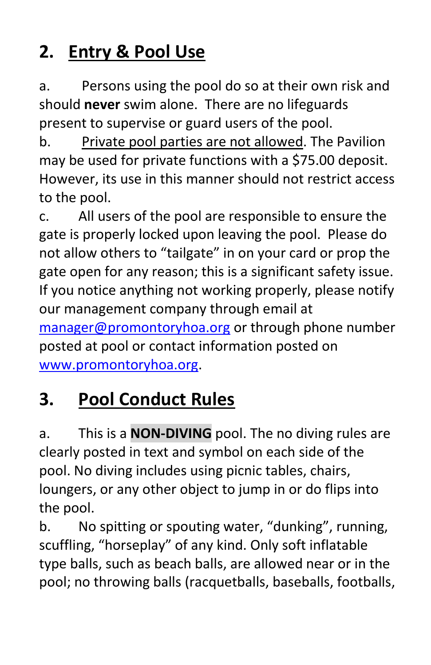## **2. Entry & Pool Use**

a. Persons using the pool do so at their own risk and should **never** swim alone. There are no lifeguards present to supervise or guard users of the pool.

b. Private pool parties are not allowed. The Pavilion may be used for private functions with a \$75.00 deposit. However, its use in this manner should not restrict access to the pool.

c. All users of the pool are responsible to ensure the gate is properly locked upon leaving the pool. Please do not allow others to "tailgate" in on your card or prop the gate open for any reason; this is a significant safety issue. If you notice anything not working properly, please notify our management company through email at [manager@promontoryhoa.org](mailto:manager@promontoryhoa.org) or through phone number posted at pool or contact information posted on [www.promontoryhoa.org.](http://www.promontoryhoa.org/)

# **3. Pool Conduct Rules**

a. This is a **NON-DIVING** pool. The no diving rules are clearly posted in text and symbol on each side of the pool. No diving includes using picnic tables, chairs, loungers, or any other object to jump in or do flips into the pool.

b. No spitting or spouting water, "dunking", running, scuffling, "horseplay" of any kind. Only soft inflatable type balls, such as beach balls, are allowed near or in the pool; no throwing balls (racquetballs, baseballs, footballs,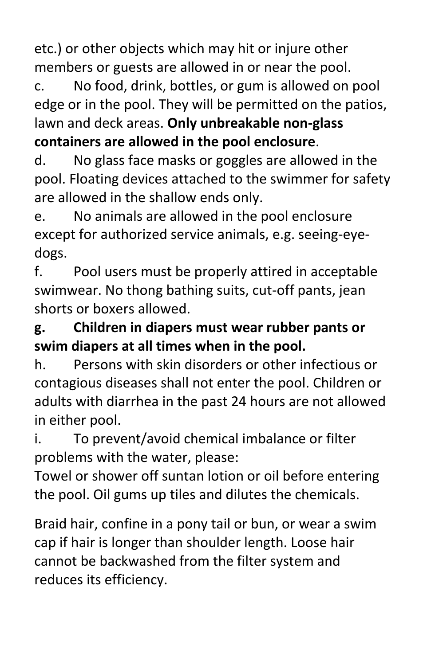etc.) or other objects which may hit or injure other members or guests are allowed in or near the pool.

c. No food, drink, bottles, or gum is allowed on pool edge or in the pool. They will be permitted on the patios, lawn and deck areas. **Only unbreakable non-glass containers are allowed in the pool enclosure**.

d. No glass face masks or goggles are allowed in the pool. Floating devices attached to the swimmer for safety are allowed in the shallow ends only.

e. No animals are allowed in the pool enclosure except for authorized service animals, e.g. seeing-eyedogs.

f. Pool users must be properly attired in acceptable swimwear. No thong bathing suits, cut-off pants, jean shorts or boxers allowed.

**g. Children in diapers must wear rubber pants or swim diapers at all times when in the pool.**

h. Persons with skin disorders or other infectious or contagious diseases shall not enter the pool. Children or adults with diarrhea in the past 24 hours are not allowed in either pool.

i. To prevent/avoid chemical imbalance or filter problems with the water, please:

Towel or shower off suntan lotion or oil before entering the pool. Oil gums up tiles and dilutes the chemicals.

Braid hair, confine in a pony tail or bun, or wear a swim cap if hair is longer than shoulder length. Loose hair cannot be backwashed from the filter system and reduces its efficiency.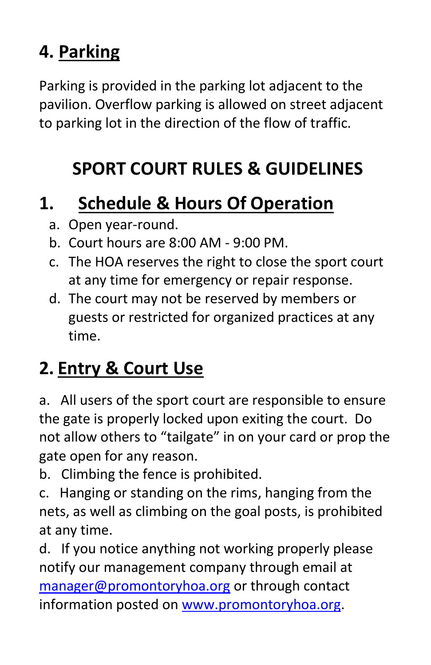### **4. Parking**

Parking is provided in the parking lot adjacent to the pavilion. Overflow parking is allowed on street adjacent to parking lot in the direction of the flow of traffic.

# **SPORT COURT RULES & GUIDELINES**

#### **1. Schedule & Hours Of Operation**

- a. Open year-round.
- b. Court hours are 8:00 AM 9:00 PM.
- c. The HOA reserves the right to close the sport court at any time for emergency or repair response.
- d. The court may not be reserved by members or guests or restricted for organized practices at any time.

# **2. Entry & Court Use**

a. All users of the sport court are responsible to ensure the gate is properly locked upon exiting the court. Do not allow others to "tailgate" in on your card or prop the gate open for any reason.

b. Climbing the fence is prohibited.

c. Hanging or standing on the rims, hanging from the nets, as well as climbing on the goal posts, is prohibited at any time.

d. If you notice anything not working properly please notify our management company through email at [manager@promontoryhoa.org](mailto:manager@promontoryhoa.org) or through contact information posted on [www.promontoryhoa.org.](http://www.promontoryhoa.org/)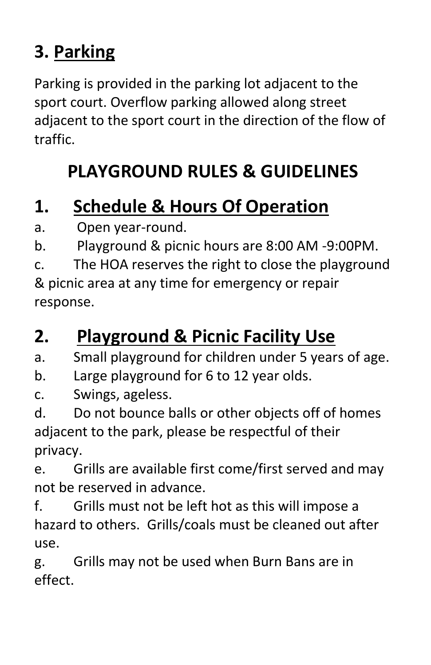## **3. Parking**

Parking is provided in the parking lot adjacent to the sport court. Overflow parking allowed along street adjacent to the sport court in the direction of the flow of traffic.

## **PLAYGROUND RULES & GUIDELINES**

#### **1. Schedule & Hours Of Operation**

a. Open year-round.

b. Playground & picnic hours are 8:00 AM -9:00PM.

c. The HOA reserves the right to close the playground & picnic area at any time for emergency or repair response.

### **2. Playground & Picnic Facility Use**

a. Small playground for children under 5 years of age.

- b. Large playground for 6 to 12 year olds.
- c. Swings, ageless.

d. Do not bounce balls or other objects off of homes adjacent to the park, please be respectful of their privacy.

e. Grills are available first come/first served and may not be reserved in advance.

f. Grills must not be left hot as this will impose a hazard to others. Grills/coals must be cleaned out after use.

g. Grills may not be used when Burn Bans are in effect.